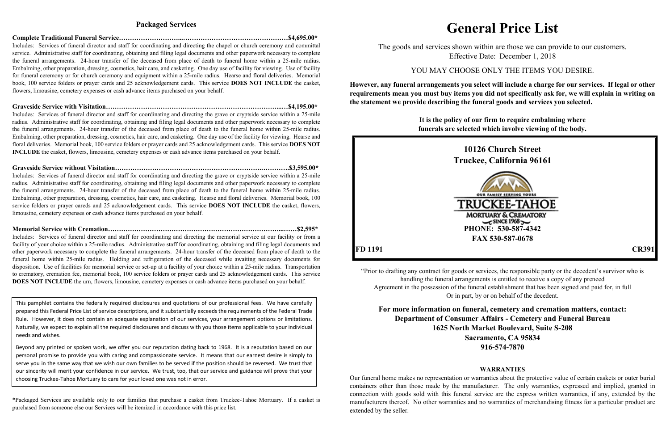### **Packaged Services**

### **Complete Traditional Funeral Service………………………...…………………………………………\$4,695.00\***

Includes: Services of funeral director and staff for coordinating and directing the chapel or church ceremony and committal service. Administrative staff for coordinating, obtaining and filing legal documents and other paperwork necessary to complete the funeral arrangements. 24-hour transfer of the deceased from place of death to funeral home within a 25-mile radius. Embalming, other preparation, dressing, cosmetics, hair care, and casketing. One day use of facility for viewing. Use of facility for funeral ceremony or for church ceremony and equipment within a 25-mile radius. Hearse and floral deliveries. Memorial book, 100 service folders or prayer cards and 25 acknowledgement cards. This service **DOES NOT INCLUDE** the casket, flowers, limousine, cemetery expenses or cash advance items purchased on your behalf.

**Graveside Service with Visitation……………………………………………………………………...…\$4,195.00\*** Includes: Services of funeral director and staff for coordinating and directing the grave or cryptside service within a 25-mile radius. Administrative staff for coordinating, obtaining and filing legal documents and other paperwork necessary to complete the funeral arrangements. 24-hour transfer of the deceased from place of death to the funeral home within 25-mile radius. Embalming, other preparation, dressing, cosmetics, hair care, and casketing. One day use of the facility for viewing. Hearse and floral deliveries. Memorial book, 100 service folders or prayer cards and 25 acknowledgement cards. This service **DOES NOT INCLUDE** the casket, flowers, limousine, cemetery expenses or cash advance items purchased on your behalf.

**Graveside Service without Visitation………………………………………………………….………….\$3,595.00\*** Includes: Services of funeral director and staff for coordinating and directing the grave or cryptside service within a 25-mile radius. Administrative staff for coordinating, obtaining and filing legal documents and other paperwork necessary to complete the funeral arrangements. 24-hour transfer of the deceased from place of death to the funeral home within 25-mile radius. Embalming, other preparation, dressing, cosmetics, hair care, and casketing. Hearse and floral deliveries. Memorial book, 100 service folders or prayer careds and 25 acknowledgement cards. This service **DOES NOT INCLUDE** the casket, flowers, limousine, cemetery expenses or cash advance items purchased on your behalf.

**Memorial Service with Cremation……………………………………………………………………...……\$2,595\*** Includes: Services of funeral director and staff for coordinating and directing the memorial service at our facility or from a facility of your choice within a 25-mile radius. Administrative staff for coordinating, obtaining and filing legal documents and other paperwork necessary to complete the funeral arrangements. 24-hour transfer of the deceased from place of death to the funeral home within 25-mile radius. Holding and refrigeration of the deceased while awaiting necessary documents for disposition. Use of facilities for memorial service or set-up at a facility of your choice within a 25-mile radius. Transportation to crematory, cremation fee, memorial book, 100 service folders or prayer cards and 25 acknowledgement cards. This service **DOES NOT INCLUDE** the urn, flowers, limousine, cemetery expenses or cash advance items purchased on your behalf.

\*Packaged Services are available only to our families that purchase a casket from Truckee-Tahoe Mortuary. If a casket is purchased from someone else our Services will be itemized in accordance with this price list.

# **General Price List**

The goods and services shown within are those we can provide to our customers. Effective Date: December 1, 2018

YOU MAY CHOOSE ONLY THE ITEMS YOU DESIRE.

**However, any funeral arrangements you select will include a charge for our services. If legal or other requirements mean you must buy items you did not specifically ask for, we will explain in writing on the statement we provide describing the funeral goods and services you selected.**

> **It is the policy of our firm to require embalming where funerals are selected which involve viewing of the body.**



**10126 Church Street Truckee, California 96161**



"Prior to drafting any contract for goods or services, the responsible party or the decedent's survivor who is handling the funeral arrangements is entitled to receive a copy of any preneed Agreement in the possession of the funeral establishment that has been signed and paid for, in full Or in part, by or on behalf of the decedent.

**For more information on funeral, cemetery and cremation matters, contact: Department of Consumer Affairs - Cemetery and Funeral Bureau 1625 North Market Boulevard, Suite S-208 Sacramento, CA 95834 916-574-7870**

# **WARRANTIES**

Our funeral home makes no representation or warranties about the protective value of certain caskets or outer burial containers other than those made by the manufacturer. The only warranties, expressed and implied, granted in connection with goods sold with this funeral service are the express written warranties, if any, extended by the manufacturers thereof. No other warranties and no warranties of merchandising fitness for a particular product are extended by the seller.

This pamphlet contains the federally required disclosures and quotations of our professional fees. We have carefully prepared this Federal Price List of service descriptions, and it substantially exceeds the requirements of the Federal Trade Rule. However, it does not contain an adequate explanation of our services, your arrangement options or limitations. Naturally, we expect to explain all the required disclosures and discuss with you those items applicable to your individual needs and wishes.

Beyond any printed or spoken work, we offer you our reputation dating back to 1968. It is a reputation based on our personal promise to provide you with caring and compassionate service. It means that our earnest desire is simply to serve you in the same way that we wish our own families to be served if the position should be reversed. We trust that our sincerity will merit your confidence in our service. We trust, too, that our service and guidance will prove that your choosing Truckee-Tahoe Mortuary to care for your loved one was not in error.